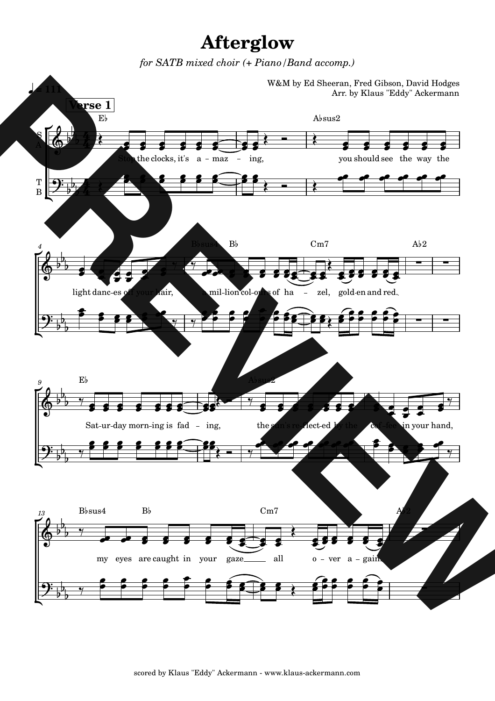## **Afterglow**

for SATB mixed choir (+ Piano/Band accomp.)

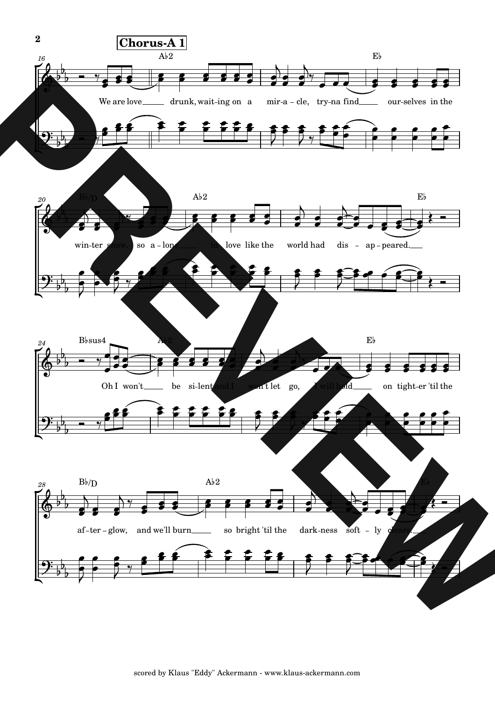